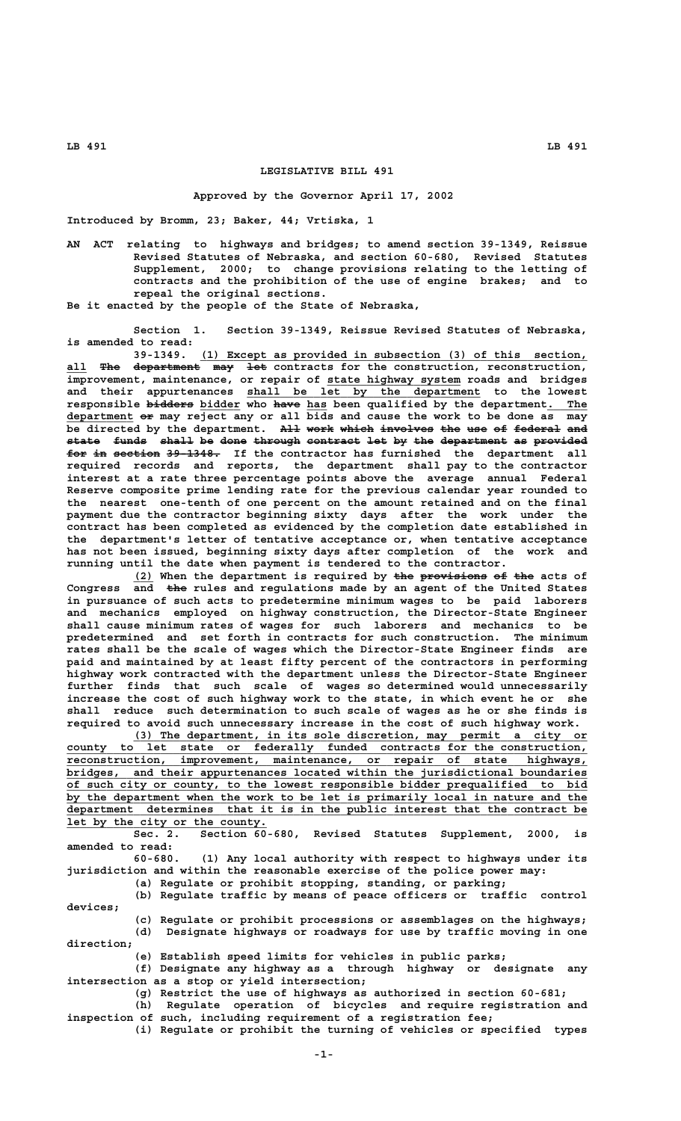## **LEGISLATIVE BILL 491**

## **Approved by the Governor April 17, 2002**

**Introduced by Bromm, 23; Baker, 44; Vrtiska, 1**

**AN ACT relating to highways and bridges; to amend section 39-1349, Reissue Revised Statutes of Nebraska, and section 60-680, Revised Statutes Supplement, 2000; to change provisions relating to the letting of contracts and the prohibition of the use of engine brakes; and to repeal the original sections.**

**Be it enacted by the people of the State of Nebraska,**

**Section 1. Section 39-1349, Reissue Revised Statutes of Nebraska, is amended to read:**

 **\_\_\_\_\_\_\_\_\_\_\_\_\_\_\_\_\_\_\_\_\_\_\_\_\_\_\_\_\_\_\_\_\_\_\_\_\_\_\_\_\_\_\_\_\_\_\_\_\_\_\_\_\_\_\_\_\_\_ 39-1349. (1) Except as provided in subsection (3) of this section,** all The department may let contracts for the construction, reconstruction,  **\_\_\_\_\_\_\_\_\_\_\_\_\_\_\_\_\_\_\_\_ improvement, maintenance, or repair of state highway system roads and bridges** and their appurtenances shall be let by the department to the lowest  **——————— \_\_\_\_\_\_ ———— \_\_\_ \_\_\_\_\_\_ responsible bidders bidder who have has been qualified by the department. The \_\_\_\_\_\_\_\_\_\_ —— department or may reject any or all bids and cause the work to be done as may** be directed by the department. All work which involves the use of federal and state funds shall be done through contract let by the department as provided **for in section 39-1348.** If the contractor has furnished the department all **required records and reports, the department shall pay to the contractor interest at a rate three percentage points above the average annual Federal Reserve composite prime lending rate for the previous calendar year rounded to the nearest one-tenth of one percent on the amount retained and on the final payment due the contractor beginning sixty days after the work under the contract has been completed as evidenced by the completion date established in the department's letter of tentative acceptance or, when tentative acceptance has not been issued, beginning sixty days after completion of the work and running until the date when payment is tendered to the contractor.**

(2) When the department is required by the provisions of the acts of  **——— Congress and the rules and regulations made by an agent of the United States in pursuance of such acts to predetermine minimum wages to be paid laborers and mechanics employed on highway construction, the Director-State Engineer shall cause minimum rates of wages for such laborers and mechanics to be predetermined and set forth in contracts for such construction. The minimum rates shall be the scale of wages which the Director-State Engineer finds are paid and maintained by at least fifty percent of the contractors in performing highway work contracted with the department unless the Director-State Engineer further finds that such scale of wages so determined would unnecessarily increase the cost of such highway work to the state, in which event he or she shall reduce such determination to such scale of wages as he or she finds is required to avoid such unnecessary increase in the cost of such highway work.**

 **\_\_\_\_\_\_\_\_\_\_\_\_\_\_\_\_\_\_\_\_\_\_\_\_\_\_\_\_\_\_\_\_\_\_\_\_\_\_\_\_\_\_\_\_\_\_\_\_\_\_\_\_\_\_\_\_\_\_\_\_\_\_\_\_\_\_\_\_ (3) The department, in its sole discretion, may permit a city or \_\_\_\_\_\_\_\_\_\_\_\_\_\_\_\_\_\_\_\_\_\_\_\_\_\_\_\_\_\_\_\_\_\_\_\_\_\_\_\_\_\_\_\_\_\_\_\_\_\_\_\_\_\_\_\_\_\_\_\_\_\_\_\_\_\_\_\_\_\_\_\_\_\_\_\_\_\_ county to let state or federally funded contracts for the construction,**  $r$ econstruction, improvement, maintenance, or repair of state highways,  **\_\_\_\_\_\_\_\_\_\_\_\_\_\_\_\_\_\_\_\_\_\_\_\_\_\_\_\_\_\_\_\_\_\_\_\_\_\_\_\_\_\_\_\_\_\_\_\_\_\_\_\_\_\_\_\_\_\_\_\_\_\_\_\_\_\_\_\_\_\_\_\_\_\_\_\_\_\_ bridges, and their appurtenances located within the jurisdictional boundaries \_\_\_\_\_\_\_\_\_\_\_\_\_\_\_\_\_\_\_\_\_\_\_\_\_\_\_\_\_\_\_\_\_\_\_\_\_\_\_\_\_\_\_\_\_\_\_\_\_\_\_\_\_\_\_\_\_\_\_\_\_\_\_\_\_\_\_\_\_\_\_\_\_\_\_\_\_\_ of such city or county, to the lowest responsible bidder prequalified to bid** by the department when the work to be let is primarily local in nature and the  **\_\_\_\_\_\_\_\_\_\_\_\_\_\_\_\_\_\_\_\_\_\_\_\_\_\_\_\_\_\_\_\_\_\_\_\_\_\_\_\_\_\_\_\_\_\_\_\_\_\_\_\_\_\_\_\_\_\_\_\_\_\_\_\_\_\_\_\_\_\_\_\_\_\_\_\_\_\_ department determines that it is in the public interest that the contract be \_\_\_\_\_\_\_\_\_\_\_\_\_\_\_\_\_\_\_\_\_\_\_\_\_\_\_\_\_\_ let by the city or the county.**

**Sec. 2. Section 60-680, Revised Statutes Supplement, 2000, is amended to read:**

**60-680. (1) Any local authority with respect to highways under its jurisdiction and within the reasonable exercise of the police power may:**

**(a) Regulate or prohibit stopping, standing, or parking;**

**(b) Regulate traffic by means of peace officers or traffic control devices;**

**(c) Regulate or prohibit processions or assemblages on the highways; (d) Designate highways or roadways for use by traffic moving in one direction;**

**(e) Establish speed limits for vehicles in public parks;**

**(f) Designate any highway as a through highway or designate any intersection as a stop or yield intersection;**

**(g) Restrict the use of highways as authorized in section 60-681;**

**(h) Regulate operation of bicycles and require registration and inspection of such, including requirement of a registration fee;**

**(i) Regulate or prohibit the turning of vehicles or specified types**